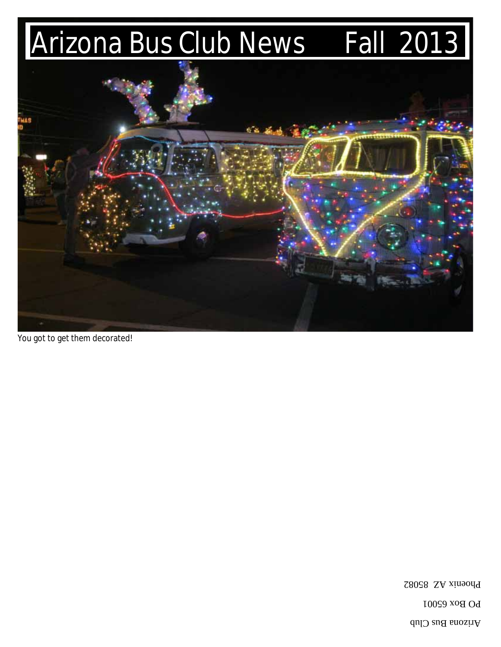# Arizona Bus Club News Fall 2013



You got to get them decorated!

Phoenix AZ 85082

Arizona Bus Club

**PO Box 65001**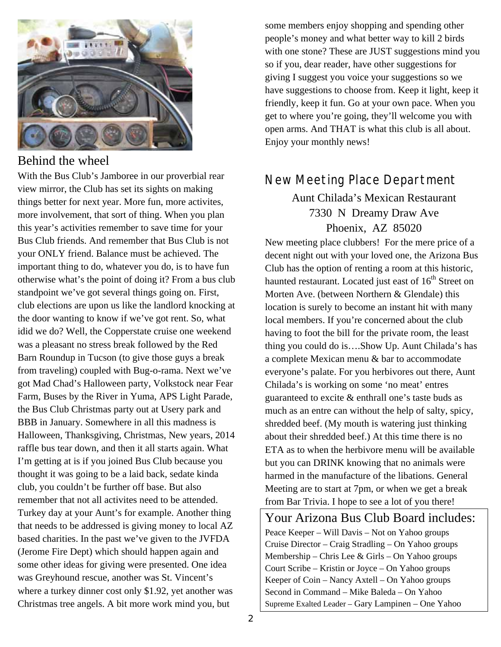

#### Behind the wheel

With the Bus Club's Jamboree in our proverbial rear view mirror, the Club has set its sights on making things better for next year. More fun, more activites, more involvement, that sort of thing. When you plan this year's activities remember to save time for your Bus Club friends. And remember that Bus Club is not your ONLY friend. Balance must be achieved. The important thing to do, whatever you do, is to have fun otherwise what's the point of doing it? From a bus club standpoint we've got several things going on. First, club elections are upon us like the landlord knocking at the door wanting to know if we've got rent. So, what idid we do? Well, the Copperstate cruise one weekend was a pleasant no stress break followed by the Red Barn Roundup in Tucson (to give those guys a break from traveling) coupled with Bug-o-rama. Next we've got Mad Chad's Halloween party, Volkstock near Fear Farm, Buses by the River in Yuma, APS Light Parade, the Bus Club Christmas party out at Usery park and BBB in January. Somewhere in all this madness is Halloween, Thanksgiving, Christmas, New years, 2014 raffle bus tear down, and then it all starts again. What I'm getting at is if you joined Bus Club because you thought it was going to be a laid back, sedate kinda club, you couldn't be further off base. But also remember that not all activites need to be attended. Turkey day at your Aunt's for example. Another thing that needs to be addressed is giving money to local AZ based charities. In the past we've given to the JVFDA (Jerome Fire Dept) which should happen again and some other ideas for giving were presented. One idea was Greyhound rescue, another was St. Vincent's where a turkey dinner cost only \$1.92, yet another was Christmas tree angels. A bit more work mind you, but

some members enjoy shopping and spending other people's money and what better way to kill 2 birds with one stone? These are JUST suggestions mind you so if you, dear reader, have other suggestions for giving I suggest you voice your suggestions so we have suggestions to choose from. Keep it light, keep it friendly, keep it fun. Go at your own pace. When you get to where you're going, they'll welcome you with open arms. And THAT is what this club is all about. Enjoy your monthly news!

## New Meeting Place Department

#### Aunt Chilada's Mexican Restaurant 7330 N Dreamy Draw Ave Phoenix, AZ 85020

New meeting place clubbers! For the mere price of a decent night out with your loved one, the Arizona Bus Club has the option of renting a room at this historic, haunted restaurant. Located just east of  $16<sup>th</sup>$  Street on Morten Ave. (between Northern & Glendale) this location is surely to become an instant hit with many local members. If you're concerned about the club having to foot the bill for the private room, the least thing you could do is….Show Up. Aunt Chilada's has a complete Mexican menu & bar to accommodate everyone's palate. For you herbivores out there, Aunt Chilada's is working on some 'no meat' entres guaranteed to excite & enthrall one's taste buds as much as an entre can without the help of salty, spicy, shredded beef. (My mouth is watering just thinking about their shredded beef.) At this time there is no ETA as to when the herbivore menu will be available but you can DRINK knowing that no animals were harmed in the manufacture of the libations. General Meeting are to start at 7pm, or when we get a break from Bar Trivia. I hope to see a lot of you there!

Your Arizona Bus Club Board includes: Peace Keeper – Will Davis – Not on Yahoo groups Cruise Director – Craig Stradling – On Yahoo groups Membership – Chris Lee & Girls – On Yahoo groups Court Scribe – Kristin or Joyce – On Yahoo groups Keeper of Coin – Nancy Axtell – On Yahoo groups Second in Command – Mike Baleda – On Yahoo Supreme Exalted Leader – Gary Lampinen – One Yahoo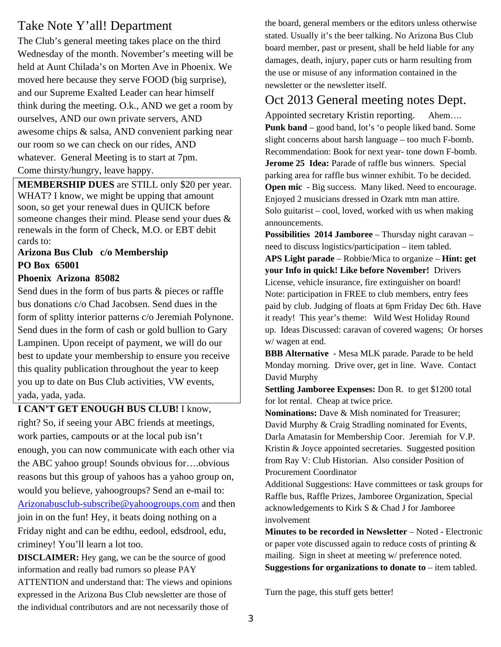## Take Note Y'all! Department

The Club's general meeting takes place on the third Wednesday of the month. November's meeting will be held at Aunt Chilada's on Morten Ave in Phoenix. We moved here because they serve FOOD (big surprise), and our Supreme Exalted Leader can hear himself think during the meeting. O.k., AND we get a room by ourselves, AND our own private servers, AND awesome chips & salsa, AND convenient parking near our room so we can check on our rides, AND whatever. General Meeting is to start at 7pm. Come thirsty/hungry, leave happy.

**MEMBERSHIP DUES** are STILL only \$20 per year. WHAT? I know, we might be upping that amount soon, so get your renewal dues in QUICK before someone changes their mind. Please send your dues & renewals in the form of Check, M.O. or EBT debit cards to:

#### **Arizona Bus Club c/o Membership PO Box 65001**

#### **Phoenix Arizona 85082**

Send dues in the form of bus parts & pieces or raffle bus donations c/o Chad Jacobsen. Send dues in the form of splitty interior patterns c/o Jeremiah Polynone. Send dues in the form of cash or gold bullion to Gary Lampinen. Upon receipt of payment, we will do our best to update your membership to ensure you receive this quality publication throughout the year to keep you up to date on Bus Club activities, VW events, yada, yada, yada.

**I CAN'T GET ENOUGH BUS CLUB!** I know, right? So, if seeing your ABC friends at meetings, work parties, campouts or at the local pub isn't enough, you can now communicate with each other via the ABC yahoo group! Sounds obvious for….obvious reasons but this group of yahoos has a yahoo group on, would you believe, yahoogroups? Send an e-mail to: Arizonabusclub-subscribe@yahoogroups.com and then join in on the fun! Hey, it beats doing nothing on a Friday night and can be edthu, eedool, edsdrool, edu, criminey! You'll learn a lot too.

**DISCLAIMER:** Hey gang, we can be the source of good information and really bad rumors so please PAY ATTENTION and understand that: The views and opinions expressed in the Arizona Bus Club newsletter are those of the individual contributors and are not necessarily those of

the board, general members or the editors unless otherwise stated. Usually it's the beer talking. No Arizona Bus Club board member, past or present, shall be held liable for any damages, death, injury, paper cuts or harm resulting from the use or misuse of any information contained in the newsletter or the newsletter itself.

## Oct 2013 General meeting notes Dept.

Appointed secretary Kristin reporting. Ahem…. **Punk band** – good band, lot's 'o people liked band. Some slight concerns about harsh language – too much F-bomb. Recommendation: Book for next year- tone down F-bomb. **Jerome 25 Idea:** Parade of raffle bus winners. Special parking area for raffle bus winner exhibit. To be decided. **Open mic** - Big success. Many liked. Need to encourage. Enjoyed 2 musicians dressed in Ozark mtn man attire. Solo guitarist – cool, loved, worked with us when making announcements.

**Possibilities 2014 Jamboree** – Thursday night caravan – need to discuss logistics/participation – item tabled. **APS Light parade** – Robbie/Mica to organize – **Hint: get your Info in quick! Like before November!** Drivers License, vehicle insurance, fire extinguisher on board! Note: participation in FREE to club members, entry fees paid by club. Judging of floats at 6pm Friday Dec 6th. Have it ready! This year's theme: Wild West Holiday Round up. Ideas Discussed: caravan of covered wagens; Or horses w/ wagen at end.

**BBB Alternative** - Mesa MLK parade. Parade to be held Monday morning. Drive over, get in line. Wave. Contact David Murphy

**Settling Jamboree Expenses:** Don R. to get \$1200 total for lot rental. Cheap at twice price.

**Nominations:** Dave & Mish nominated for Treasurer; David Murphy & Craig Stradling nominated for Events, Darla Amatasin for Membership Coor. Jeremiah for V.P. Kristin & Joyce appointed secretaries. Suggested position from Ray V: Club Historian. Also consider Position of Procurement Coordinator

Additional Suggestions: Have committees or task groups for Raffle bus, Raffle Prizes, Jamboree Organization, Special acknowledgements to Kirk S & Chad J for Jamboree involvement

**Minutes to be recorded in Newsletter** – Noted - Electronic or paper vote discussed again to reduce costs of printing & mailing. Sign in sheet at meeting w/ preference noted. **Suggestions for organizations to donate to** – item tabled.

Turn the page, this stuff gets better!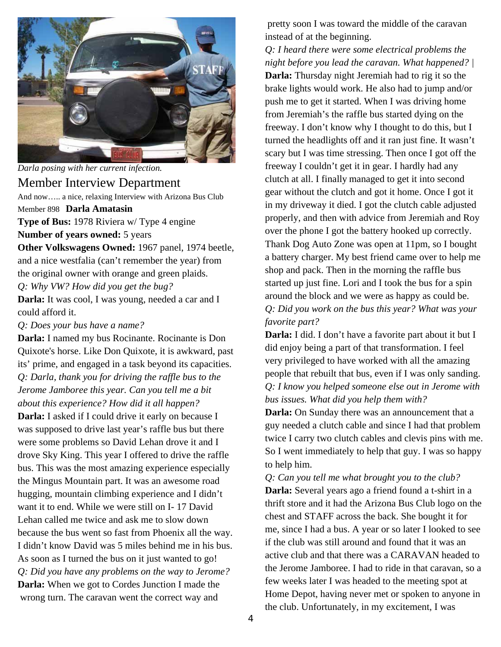

*Darla posing with her current infection.* 

#### Member Interview Department

And now….. a nice, relaxing Interview with Arizona Bus Club

Member 898 **Darla Amatasin** 

**Type of Bus:** 1978 Riviera w/ Type 4 engine **Number of years owned:** 5 years

**Other Volkswagens Owned:** 1967 panel, 1974 beetle, and a nice westfalia (can't remember the year) from the original owner with orange and green plaids. *Q: Why VW? How did you get the bug?* 

**Darla:** It was cool, I was young, needed a car and I could afford it.

*Q: Does your bus have a name?* 

**Darla:** I named my bus Rocinante. Rocinante is Don Quixote's horse. Like Don Quixote, it is awkward, past its' prime, and engaged in a task beyond its capacities. *Q: Darla, thank you for driving the raffle bus to the Jerome Jamboree this year. Can you tell me a bit about this experience? How did it all happen?*  **Darla:** I asked if I could drive it early on because I was supposed to drive last year's raffle bus but there were some problems so David Lehan drove it and I drove Sky King. This year I offered to drive the raffle bus. This was the most amazing experience especially the Mingus Mountain part. It was an awesome road hugging, mountain climbing experience and I didn't want it to end. While we were still on I- 17 David Lehan called me twice and ask me to slow down because the bus went so fast from Phoenix all the way. I didn't know David was 5 miles behind me in his bus. As soon as I turned the bus on it just wanted to go! *Q: Did you have any problems on the way to Jerome?*  **Darla:** When we got to Cordes Junction I made the wrong turn. The caravan went the correct way and

 pretty soon I was toward the middle of the caravan instead of at the beginning.

*Q: I heard there were some electrical problems the night before you lead the caravan. What happened? |*  **Darla:** Thursday night Jeremiah had to rig it so the brake lights would work. He also had to jump and/or push me to get it started. When I was driving home from Jeremiah's the raffle bus started dying on the freeway. I don't know why I thought to do this, but I turned the headlights off and it ran just fine. It wasn't scary but I was time stressing. Then once I got off the freeway I couldn't get it in gear. I hardly had any clutch at all. I finally managed to get it into second gear without the clutch and got it home. Once I got it in my driveway it died. I got the clutch cable adjusted properly, and then with advice from Jeremiah and Roy over the phone I got the battery hooked up correctly. Thank Dog Auto Zone was open at 11pm, so I bought a battery charger. My best friend came over to help me shop and pack. Then in the morning the raffle bus started up just fine. Lori and I took the bus for a spin around the block and we were as happy as could be. *Q: Did you work on the bus this year? What was your favorite part?* 

**Darla:** I did. I don't have a favorite part about it but I did enjoy being a part of that transformation. I feel very privileged to have worked with all the amazing people that rebuilt that bus, even if I was only sanding. *Q: I know you helped someone else out in Jerome with bus issues. What did you help them with?* 

**Darla:** On Sunday there was an announcement that a guy needed a clutch cable and since I had that problem twice I carry two clutch cables and clevis pins with me. So I went immediately to help that guy. I was so happy to help him.

*Q: Can you tell me what brought you to the club?*  **Darla:** Several years ago a friend found a t-shirt in a thrift store and it had the Arizona Bus Club logo on the chest and STAFF across the back. She bought it for me, since I had a bus. A year or so later I looked to see if the club was still around and found that it was an active club and that there was a CARAVAN headed to the Jerome Jamboree. I had to ride in that caravan, so a few weeks later I was headed to the meeting spot at Home Depot, having never met or spoken to anyone in the club. Unfortunately, in my excitement, I was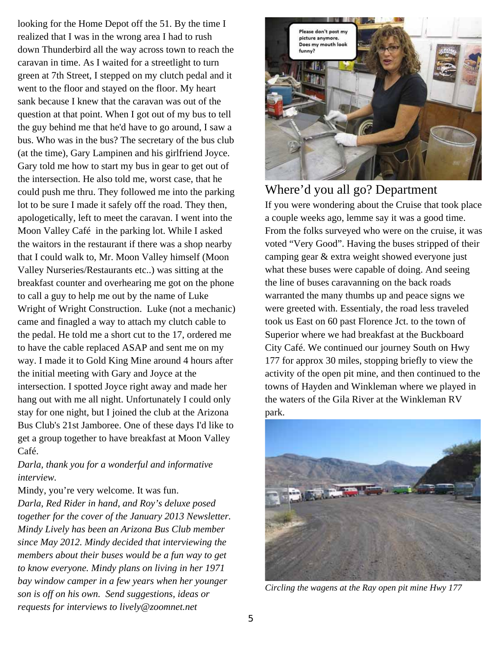looking for the Home Depot off the 51. By the time I realized that I was in the wrong area I had to rush down Thunderbird all the way across town to reach the caravan in time. As I waited for a streetlight to turn green at 7th Street, I stepped on my clutch pedal and it went to the floor and stayed on the floor. My heart sank because I knew that the caravan was out of the question at that point. When I got out of my bus to tell the guy behind me that he'd have to go around, I saw a bus. Who was in the bus? The secretary of the bus club (at the time), Gary Lampinen and his girlfriend Joyce. Gary told me how to start my bus in gear to get out of the intersection. He also told me, worst case, that he could push me thru. They followed me into the parking lot to be sure I made it safely off the road. They then, apologetically, left to meet the caravan. I went into the Moon Valley Café in the parking lot. While I asked the waitors in the restaurant if there was a shop nearby that I could walk to, Mr. Moon Valley himself (Moon Valley Nurseries/Restaurants etc..) was sitting at the breakfast counter and overhearing me got on the phone to call a guy to help me out by the name of Luke Wright of Wright Construction. Luke (not a mechanic) came and finagled a way to attach my clutch cable to the pedal. He told me a short cut to the 17, ordered me to have the cable replaced ASAP and sent me on my way. I made it to Gold King Mine around 4 hours after the initial meeting with Gary and Joyce at the intersection. I spotted Joyce right away and made her hang out with me all night. Unfortunately I could only stay for one night, but I joined the club at the Arizona Bus Club's 21st Jamboree. One of these days I'd like to get a group together to have breakfast at Moon Valley Café.

#### *Darla, thank you for a wonderful and informative interview.*

Mindy, you're very welcome. It was fun.

*Darla, Red Rider in hand, and Roy's deluxe posed together for the cover of the January 2013 Newsletter. Mindy Lively has been an Arizona Bus Club member since May 2012. Mindy decided that interviewing the members about their buses would be a fun way to get to know everyone. Mindy plans on living in her 1971 bay window camper in a few years when her younger son is off on his own. Send suggestions, ideas or requests for interviews to lively@zoomnet.net* 



Where'd you all go? Department If you were wondering about the Cruise that took place a couple weeks ago, lemme say it was a good time. From the folks surveyed who were on the cruise, it was voted "Very Good". Having the buses stripped of their camping gear & extra weight showed everyone just what these buses were capable of doing. And seeing the line of buses caravanning on the back roads warranted the many thumbs up and peace signs we were greeted with. Essentialy, the road less traveled took us East on 60 past Florence Jct. to the town of Superior where we had breakfast at the Buckboard City Café. We continued our journey South on Hwy 177 for approx 30 miles, stopping briefly to view the activity of the open pit mine, and then continued to the towns of Hayden and Winkleman where we played in the waters of the Gila River at the Winkleman RV park.



*Circling the wagens at the Ray open pit mine Hwy 177*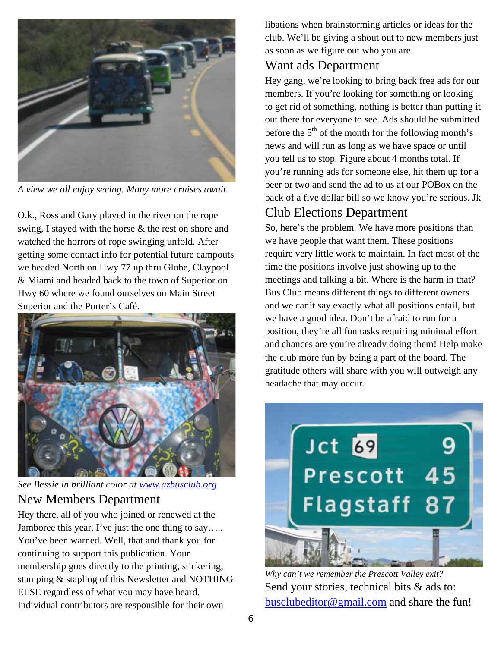

*A view we all enjoy seeing. Many more cruises await.* 

O.k., Ross and Gary played in the river on the rope swing, I stayed with the horse & the rest on shore and watched the horrors of rope swinging unfold. After getting some contact info for potential future campouts we headed North on Hwy 77 up thru Globe, Claypool & Miami and headed back to the town of Superior on Hwy 60 where we found ourselves on Main Street Superior and the Porter's Café.



*See Bessie in brilliant color at www.azbusclub.org*

#### New Members Department

Hey there, all of you who joined or renewed at the Jamboree this year, I've just the one thing to say….. You've been warned. Well, that and thank you for continuing to support this publication. Your membership goes directly to the printing, stickering, stamping & stapling of this Newsletter and NOTHING ELSE regardless of what you may have heard. Individual contributors are responsible for their own

libations when brainstorming articles or ideas for the club. We'll be giving a shout out to new members just as soon as we figure out who you are.

### Want ads Department

Hey gang, we're looking to bring back free ads for our members. If you're looking for something or looking to get rid of something, nothing is better than putting it out there for everyone to see. Ads should be submitted before the  $5<sup>th</sup>$  of the month for the following month's news and will run as long as we have space or until you tell us to stop. Figure about 4 months total. If you're running ads for someone else, hit them up for a beer or two and send the ad to us at our POBox on the back of a five dollar bill so we know you're serious. Jk

## Club Elections Department

So, here's the problem. We have more positions than we have people that want them. These positions require very little work to maintain. In fact most of the time the positions involve just showing up to the meetings and talking a bit. Where is the harm in that? Bus Club means different things to different owners and we can't say exactly what all positions entail, but we have a good idea. Don't be afraid to run for a position, they're all fun tasks requiring minimal effort and chances are you're already doing them! Help make the club more fun by being a part of the board. The gratitude others will share with you will outweigh any headache that may occur.



*Why can't we remember the Prescott Valley exit?*  Send your stories, technical bits & ads to: busclubeditor@gmail.com and share the fun!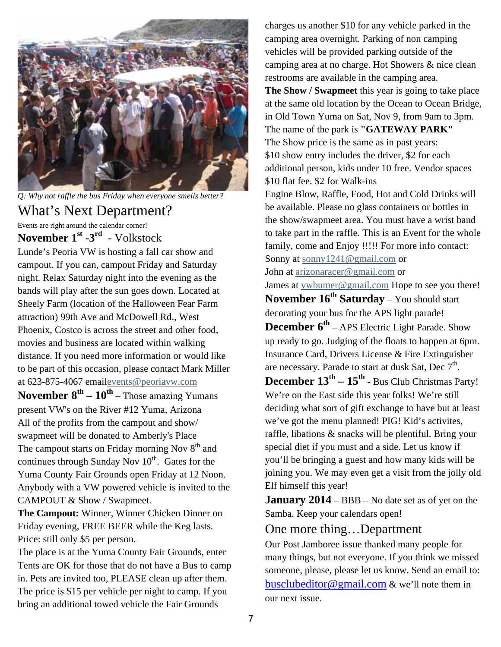

*Q: Why not raffle the bus Friday when everyone smells better?* 

## What's Next Department?

Events are right around the calendar corner!

**November 1st -3rd** - Volkstock

Lunde's Peoria VW is hosting a fall car show and campout. If you can, campout Friday and Saturday night. Relax Saturday night into the evening as the bands will play after the sun goes down. Located at Sheely Farm (location of the Halloween Fear Farm attraction) 99th Ave and McDowell Rd., West Phoenix, Costco is across the street and other food, movies and business are located within walking distance. If you need more information or would like to be part of this occasion, please contact Mark Miller at 623-875-4067 emailevents@peoriavw.com

**November**  $8^{th} - 10^{th}$  – Those amazing Yumans present VW's on the River #12 Yuma, Arizona All of the profits from the campout and show/ swapmeet will be donated to Amberly's Place The campout starts on Friday morning Nov  $8<sup>th</sup>$  and continues through Sunday Nov  $10^{th}$ . Gates for the Yuma County Fair Grounds open Friday at 12 Noon. Anybody with a VW powered vehicle is invited to the CAMPOUT & Show / Swapmeet.

**The Campout:** Winner, Winner Chicken Dinner on Friday evening, FREE BEER while the Keg lasts. Price: still only \$5 per person.

The place is at the Yuma County Fair Grounds, enter Tents are OK for those that do not have a Bus to camp in. Pets are invited too, PLEASE clean up after them. The price is \$15 per vehicle per night to camp. If you bring an additional towed vehicle the Fair Grounds

charges us another \$10 for any vehicle parked in the camping area overnight. Parking of non camping vehicles will be provided parking outside of the camping area at no charge. Hot Showers & nice clean restrooms are available in the camping area. **The Show / Swapmeet** this year is going to take place at the same old location by the Ocean to Ocean Bridge, in Old Town Yuma on Sat, Nov 9, from 9am to 3pm. The name of the park is **"GATEWAY PARK"** The Show price is the same as in past years: \$10 show entry includes the driver, \$2 for each additional person, kids under 10 free. Vendor spaces \$10 flat fee. \$2 for Walk-ins Engine Blow, Raffle, Food, Hot and Cold Drinks will be available. Please no glass containers or bottles in the show/swapmeet area. You must have a wrist band to take part in the raffle. This is an Event for the whole family, come and Enjoy !!!!! For more info contact: Sonny at sonny 1241@gmail.com or John at arizonaracer@gmail.com or James at vwbumer@gmail.com Hope to see you there!

**November 16th Saturday** – You should start decorating your bus for the APS light parade!

**December 6<sup>th</sup>** – APS Electric Light Parade. Show up ready to go. Judging of the floats to happen at 6pm. Insurance Card, Drivers License & Fire Extinguisher are necessary. Parade to start at dusk Sat, Dec  $7<sup>th</sup>$ .

December  $13^{th} - 15^{th}$  - Bus Club Christmas Party! We're on the East side this year folks! We're still deciding what sort of gift exchange to have but at least we've got the menu planned! PIG! Kid's activites, raffle, libations & snacks will be plentiful. Bring your special diet if you must and a side. Let us know if you'll be bringing a guest and how many kids will be joining you. We may even get a visit from the jolly old Elf himself this year!

**January 2014** – BBB – No date set as of yet on the Samba. Keep your calendars open!

#### One more thing…Department

Our Post Jamboree issue thanked many people for many things, but not everyone. If you think we missed someone, please, please let us know. Send an email to: busclubeditor@gmail.com & we'll note them in our next issue.